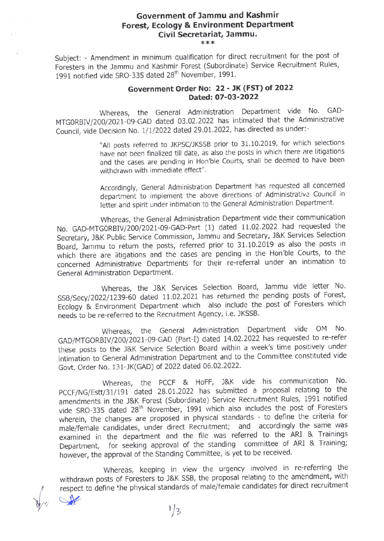## Government of Jammu and Kashmir Forest, Ecology & Environment Depatment Civil Secretariat, Jammu.

Subject: - Amendment in minimum qualification for direct recruitment for the post of Foresters in the Jammu and Kashmir Forest (Subordinate) Service Recruitment Rules, 1991 notified vide SRO-335 dated 28<sup>th</sup> November, 1991.

## Government Order No: 22 - JK (FST) of 2022 Dated: 07-03-2022

Whereas, the General Administration Department vide No. GAD-MTG0RBIV/200/2021-09-GAD dated 03.02.2022 has intimated that the Administrative Council, vide Decision No. 1/1/2022 dated 29.01.2022, has directed as under:-

> "All posts referred to JKPSC/JKSSB prior to 31.10.2019, for which selections have not been finalized till date, as also the posts in which there are litigations and the cases are pending in Hon'ble Courts, shall be deemed to have been withdrawn with immediate effect",

> Accordingly, General Administration Department has requested all concerned department to implement the above directions of Administrative Council in letter and spirit under intimation to the General Administration Department.

Whereas, the General Administration Department vide their communication No. GAD-MTG0RBIV/200/2021-09-GAD-Part (1) dated 11.02.2022 had requested the Secretary, J&K Public Service Commission, Jammu and Secretary, l&K Services Selection Board, lammu to return the posts, referred prior to 31,102019 as also the posts in which there are iitigations and the cases are pending in the Hon'ble Courts, to the concerned Administrative Departments for their re-referral under an intimation to General Administration Department.

Whereas, the J&K Services Selection Board, Jammu vide letter No SSB/Secy/2022/1239-60 dated 11.02.2021 has returned the pending posts of Forest, Ecology & Environment Department which also include the post of Foresters which needs to be re-referred to the Recruitment Agency, i.e. IKSSB'

Whereas, the General Administration Department vide OM No. GAD/MTGORBIV/200/2021-09-GAD (Part-I) dated 14.02.2022 has requested to re-refer these posts to the J&K Service Selection Board within a week's time positively under intimation to General Administration Department and to the Committee constituted vide Govt. Order No. 131-IK(GAD) of 2022 dated 06.02.2022.

Whereas, the PCCF & HoFF, J&K vide his communication No. PCCF/NG/Estt/31/191 dated 28.01.2022 has submitted a proposal relating to the amendments in the J&K Forest (Subordinate) Service Recruitment Rules, 1991 notified vide SRO-335 dated 28<sup>th</sup> November, 1991 which also includes the post of Foresters wherein, the changes are proposed in physical standards - to define the criteria for male/female candidates, under direct Recruitment; and accordingly the same was examined in the department and the flle was referred to the ARI & Trainings Department, for seeking approval of the standing committee of ARI & Training; however, the approval of the Standing Committee, is yet to be received.

Whereas, keeping in view the urgency involved in re-referring the withdrawn posts of Foresters to J&K SSB, the proposal relating to the amendment, with respect to define the physical standards of male/female candidates for direct recruitment  $\alpha$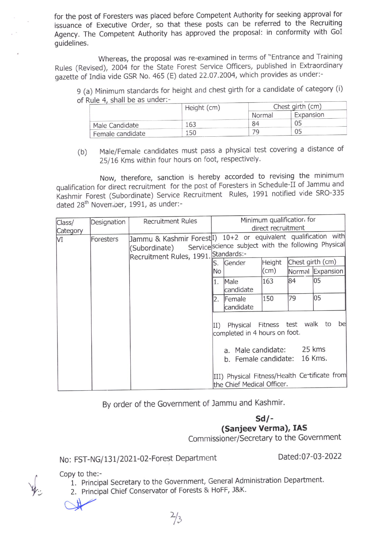for the post of Foresters was placed before Competent Authority for seeklng approval for issuance of Executive Order, so that these posts can be referred to the Recruiting Agency. The competent Authority has approved the proposal: in conformity with GoI guidelines.

Whereas, the proposal was re-examined in terms of "Entrance and Training Rules (Revised), 2oo4 for the state Forest Service officers, published in Extraordinary gazette of India vide GSR No. 465 (E) dated 22.07.2004, which provides as under:-

9 (a) Minimum standards for height and chest girth for a candidate of category (i) of Rule 4, shall be as under:-

| .                | Height (cm) | Chest girth (cm) |           |  |
|------------------|-------------|------------------|-----------|--|
|                  |             | Normal           | Expansion |  |
| Male Candidate   | 163         | 84               | 05        |  |
| Female candidate | 150         | 79               | 05        |  |

(b) Male/Female candidates must pass a physical test covering a distance of 25/16 Kms within four hours on foot, respectively.

Now, therefore, sanction is hereby accorded to revising the minimum qualification for direct recruitment for the post of Foresters in Schedule-II of Jammu and Kashmir Forest (Subordinate) Service Recruitment Rules, 1991 notified vide SRO-335 dated 28<sup>th</sup> November, 1991, as under:-

| Class/<br>Category | Designation | <b>Recruitment Rules</b>             | Minimum qualificatior for<br>direct recruitment                                                                                                                                                |                              |               |    |                  |
|--------------------|-------------|--------------------------------------|------------------------------------------------------------------------------------------------------------------------------------------------------------------------------------------------|------------------------------|---------------|----|------------------|
| VI                 | Foresters   | Recruitment Rules, 1991. Standards:- | Jammu & Kashmir Forest <sup>[1]</sup> 10+2 or equivalent qualification with<br>(Subordinate) Service science subject with the following Physical<br>Chest girth (cm)<br>Height<br>Gender<br>S. |                              |               |    |                  |
|                    |             |                                      | No                                                                                                                                                                                             |                              | $\text{(cm)}$ |    | Normal Expansion |
|                    |             |                                      | 1.                                                                                                                                                                                             | Male<br>candidate            | 163           | 84 | 05               |
|                    |             |                                      | 2.                                                                                                                                                                                             | Female<br>candidate          | 150           | 79 | 05               |
|                    |             |                                      | Physical Fitness test walk to<br>bel<br>II)<br>completed in 4 hours on foot.<br>a. Male candidate: 25 kms                                                                                      |                              |               |    |                  |
|                    |             |                                      |                                                                                                                                                                                                | b. Female candidate: 16 Kms. |               |    |                  |
|                    |             |                                      | III) Physical Fitness/Health Ce tificate from<br>the Chief Medical Officer.                                                                                                                    |                              |               |    |                  |

By order of the Government of lammu and Kashmir.

 $Sd/-$ (Sanjeev Verma), IAS

Commissioner/Secretary to the Government

## No: FST-NG/131/2021-02-Forest Department Dated:07-03-2022

, Copy to the:-

- 1. Principal Secretary to the Government, General Administration Department.
- 2. Principal Chief Conservator of Forests & HoFF, J&K.

 $2/3$